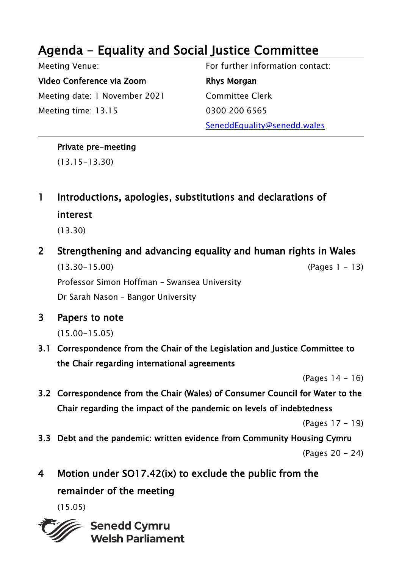## Agenda - Equality and Social Justice Committee

Meeting Venue:

Video Conference via Zoom Meeting date: 1 November 2021 Meeting time: 13.15

For further information contact: Rhys Morgan Committee Clerk 0300 200 6565 SeneddEquality@senedd.wales

## Private pre-meeting

(13.15-13.30)

1 Introductions, apologies, substitutions and declarations of interest

(13.30)

2 Strengthening and advancing equality and human rights in Wales

(13.30-15.00) (Pages 1 - 13)

Professor Simon Hoffman – Swansea University

Dr Sarah Nason – Bangor University

3 Papers to note

(15.00-15.05)

3.1 Correspondence from the Chair of the Legislation and Justice Committee to the Chair regarding international agreements

(Pages 14 - 16)

3.2 Correspondence from the Chair (Wales) of Consumer Council for Water to the Chair regarding the impact of the pandemic on levels of indebtedness

(Pages 17 - 19)

3.3 Debt and the pandemic: written evidence from Community Housing Cymru

(Pages 20 - 24)

4 Motion under SO17.42(ix) to exclude the public from the remainder of the meeting

(15.05)

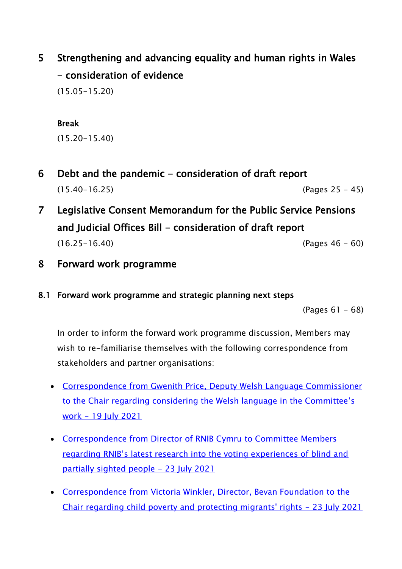5 Strengthening and advancing equality and human rights in Wales - consideration of evidence

(15.05-15.20)

## Break

(15.20-15.40)

- 6 Debt and the pandemic consideration of draft report (15.40-16.25) (Pages 25 - 45)
- 7 Legislative Consent Memorandum for the Public Service Pensions and Judicial Offices Bill - consideration of draft report (16.25-16.40) (Pages 46 - 60)
- 8 Forward work programme
- 8.1 Forward work programme and strategic planning next steps

(Pages 61 - 68)

In order to inform the forward work programme discussion, Members may wish to re-familiarise themselves with the following correspondence from stakeholders and partner organisations:

- [Correspondence from Gwenith Price, Deputy Welsh Language Commissioner](https://business.senedd.wales/documents/s117048/Correspondence%20from%20Gwenith%20Price%20Deputy%20Welsh%20Language%20Commissioner%20to%20the%20Chair%20regarding%20conside.pdf)  [to the Chair regarding considering the Welsh language in the Committee](https://business.senedd.wales/documents/s117048/Correspondence%20from%20Gwenith%20Price%20Deputy%20Welsh%20Language%20Commissioner%20to%20the%20Chair%20regarding%20conside.pdf)'s work - [19 July 2021](https://business.senedd.wales/documents/s117048/Correspondence%20from%20Gwenith%20Price%20Deputy%20Welsh%20Language%20Commissioner%20to%20the%20Chair%20regarding%20conside.pdf)
- [Correspondence from Director of RNIB Cymru to Committee Members](https://business.senedd.wales/documents/s117046/Correspondence%20from%20Director%20of%20RNIB%20Cymru%20to%20Committee%20Members%20regarding%20RNIBs%20latest%20research%20int.pdf)  [regarding RNIB's latest research into the voting experiences of blind and](https://business.senedd.wales/documents/s117046/Correspondence%20from%20Director%20of%20RNIB%20Cymru%20to%20Committee%20Members%20regarding%20RNIBs%20latest%20research%20int.pdf)  [partially sighted people -](https://business.senedd.wales/documents/s117046/Correspondence%20from%20Director%20of%20RNIB%20Cymru%20to%20Committee%20Members%20regarding%20RNIBs%20latest%20research%20int.pdf) 23 July 2021
- [Correspondence from Victoria Winkler, Director, Bevan Foundation to the](https://business.senedd.wales/documents/s117049/Correspondence%20from%20Victoria%20Winkler%20Director%20Bevan%20Foundation%20to%20the%20Chair%20regarding%20child%20povert.pdf)  [Chair regarding child poverty and protecting migrants' rights -](https://business.senedd.wales/documents/s117049/Correspondence%20from%20Victoria%20Winkler%20Director%20Bevan%20Foundation%20to%20the%20Chair%20regarding%20child%20povert.pdf) 23 July 2021